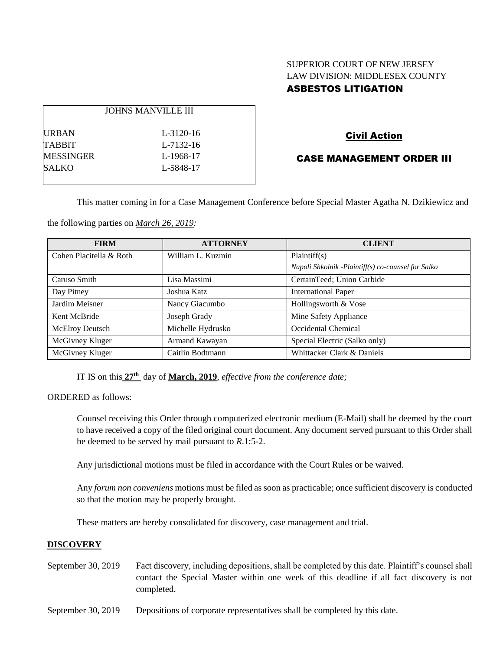# SUPERIOR COURT OF NEW JERSEY LAW DIVISION: MIDDLESEX COUNTY ASBESTOS LITIGATION

|              | <b>JOHNS MANVILLE III</b> |
|--------------|---------------------------|
| <b>URBAN</b> | $L - 3120 - 16$           |
| TABBIT       | L-7132-16                 |
| MESSINGER    | L-1968-17                 |
| SALKO        | L-5848-17                 |
|              |                           |

## Civil Action

## CASE MANAGEMENT ORDER III

This matter coming in for a Case Management Conference before Special Master Agatha N. Dzikiewicz and

the following parties on *March 26, 2019:*

| <b>FIRM</b>             | <b>ATTORNEY</b>   | <b>CLIENT</b>                                      |
|-------------------------|-------------------|----------------------------------------------------|
| Cohen Placitella & Roth | William L. Kuzmin | Plaintiff(s)                                       |
|                         |                   | Napoli Shkolnik -Plaintiff(s) co-counsel for Salko |
| Caruso Smith            | Lisa Massimi      | CertainTeed; Union Carbide                         |
| Day Pitney              | Joshua Katz       | <b>International Paper</b>                         |
| Jardim Meisner          | Nancy Giacumbo    | Hollingsworth & Vose                               |
| Kent McBride            | Joseph Grady      | Mine Safety Appliance                              |
| McElroy Deutsch         | Michelle Hydrusko | Occidental Chemical                                |
| McGivney Kluger         | Armand Kawayan    | Special Electric (Salko only)                      |
| McGivney Kluger         | Caitlin Bodtmann  | Whittacker Clark & Daniels                         |

IT IS on this **27th** day of **March, 2019**, *effective from the conference date;*

ORDERED as follows:

Counsel receiving this Order through computerized electronic medium (E-Mail) shall be deemed by the court to have received a copy of the filed original court document. Any document served pursuant to this Order shall be deemed to be served by mail pursuant to *R*.1:5-2.

Any jurisdictional motions must be filed in accordance with the Court Rules or be waived.

Any *forum non conveniens* motions must be filed as soon as practicable; once sufficient discovery is conducted so that the motion may be properly brought.

These matters are hereby consolidated for discovery, case management and trial.

#### **DISCOVERY**

- September 30, 2019 Fact discovery, including depositions, shall be completed by this date. Plaintiff's counsel shall contact the Special Master within one week of this deadline if all fact discovery is not completed.
- September 30, 2019 Depositions of corporate representatives shall be completed by this date.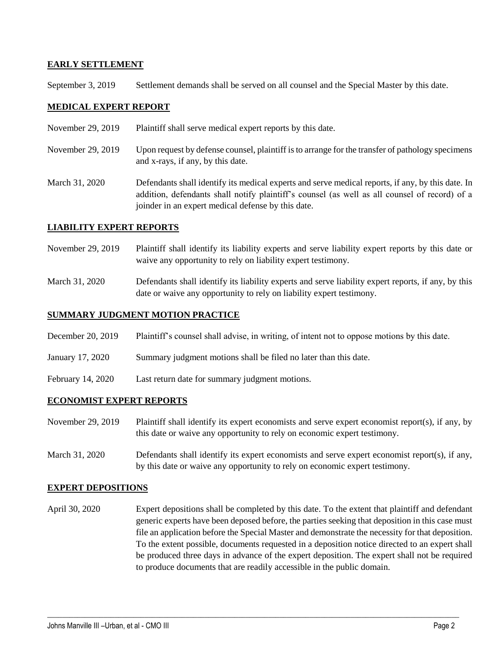## **EARLY SETTLEMENT**

September 3, 2019 Settlement demands shall be served on all counsel and the Special Master by this date.

## **MEDICAL EXPERT REPORT**

- November 29, 2019 Plaintiff shall serve medical expert reports by this date.
- November 29, 2019 Upon request by defense counsel, plaintiff is to arrange for the transfer of pathology specimens and x-rays, if any, by this date.
- March 31, 2020 Defendants shall identify its medical experts and serve medical reports, if any, by this date. In addition, defendants shall notify plaintiff's counsel (as well as all counsel of record) of a joinder in an expert medical defense by this date.

## **LIABILITY EXPERT REPORTS**

- November 29, 2019 Plaintiff shall identify its liability experts and serve liability expert reports by this date or waive any opportunity to rely on liability expert testimony.
- March 31, 2020 Defendants shall identify its liability experts and serve liability expert reports, if any, by this date or waive any opportunity to rely on liability expert testimony.

## **SUMMARY JUDGMENT MOTION PRACTICE**

- December 20, 2019 Plaintiff's counsel shall advise, in writing, of intent not to oppose motions by this date.
- January 17, 2020 Summary judgment motions shall be filed no later than this date.
- February 14, 2020 Last return date for summary judgment motions.

#### **ECONOMIST EXPERT REPORTS**

- November 29, 2019 Plaintiff shall identify its expert economists and serve expert economist report(s), if any, by this date or waive any opportunity to rely on economic expert testimony.
- March 31, 2020 Defendants shall identify its expert economists and serve expert economist report(s), if any, by this date or waive any opportunity to rely on economic expert testimony.

#### **EXPERT DEPOSITIONS**

April 30, 2020 Expert depositions shall be completed by this date. To the extent that plaintiff and defendant generic experts have been deposed before, the parties seeking that deposition in this case must file an application before the Special Master and demonstrate the necessity for that deposition. To the extent possible, documents requested in a deposition notice directed to an expert shall be produced three days in advance of the expert deposition. The expert shall not be required to produce documents that are readily accessible in the public domain.

 $\_$  ,  $\_$  ,  $\_$  ,  $\_$  ,  $\_$  ,  $\_$  ,  $\_$  ,  $\_$  ,  $\_$  ,  $\_$  ,  $\_$  ,  $\_$  ,  $\_$  ,  $\_$  ,  $\_$  ,  $\_$  ,  $\_$  ,  $\_$  ,  $\_$  ,  $\_$  ,  $\_$  ,  $\_$  ,  $\_$  ,  $\_$  ,  $\_$  ,  $\_$  ,  $\_$  ,  $\_$  ,  $\_$  ,  $\_$  ,  $\_$  ,  $\_$  ,  $\_$  ,  $\_$  ,  $\_$  ,  $\_$  ,  $\_$  ,